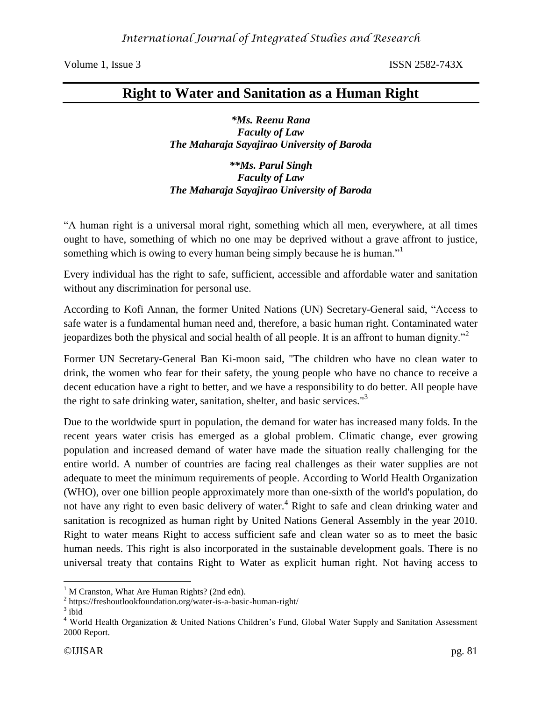# **Right to Water and Sanitation as a Human Right**

*\*Ms. Reenu Rana Faculty of Law The Maharaja Sayajirao University of Baroda*

*\*\*Ms. Parul Singh Faculty of Law The Maharaja Sayajirao University of Baroda*

"A human right is a universal moral right, something which all men, everywhere, at all times ought to have, something of which no one may be deprived without a grave affront to justice, something which is owing to every human being simply because he is human."<sup>1</sup>

Every individual has the right to safe, sufficient, accessible and affordable water and sanitation without any discrimination for personal use.

According to Kofi Annan, the former United Nations (UN) Secretary-General said, "Access to safe water is a fundamental human need and, therefore, a basic human right. Contaminated water jeopardizes both the physical and social health of all people. It is an affront to human dignity.<sup>32</sup>

Former UN Secretary-General Ban Ki-moon said, "The children who have no clean water to drink, the women who fear for their safety, the young people who have no chance to receive a decent education have a right to better, and we have a responsibility to do better. All people have the right to safe drinking water, sanitation, shelter, and basic services."<sup>3</sup>

Due to the worldwide spurt in population, the demand for water has increased many folds. In the recent years water crisis has emerged as a global problem. Climatic change, ever growing population and increased demand of water have made the situation really challenging for the entire world. A number of countries are facing real challenges as their water supplies are not adequate to meet the minimum requirements of people. According to World Health Organization (WHO), over one billion people approximately more than one-sixth of the world's population, do not have any right to even basic delivery of water.<sup>4</sup> Right to safe and clean drinking water and sanitation is recognized as human right by United Nations General Assembly in the year 2010. Right to water means Right to access sufficient safe and clean water so as to meet the basic human needs. This right is also incorporated in the sustainable development goals. There is no universal treaty that contains Right to Water as explicit human right. Not having access to

 $\overline{a}$ 

 $1 \text{ M}$  Cranston, What Are Human Rights? (2nd edn).

<sup>&</sup>lt;sup>2</sup> https://freshoutlookfoundation.org/water-is-a-basic-human-right/

 $3$  ibid

<sup>4</sup> World Health Organization & United Nations Children's Fund, Global Water Supply and Sanitation Assessment 2000 Report.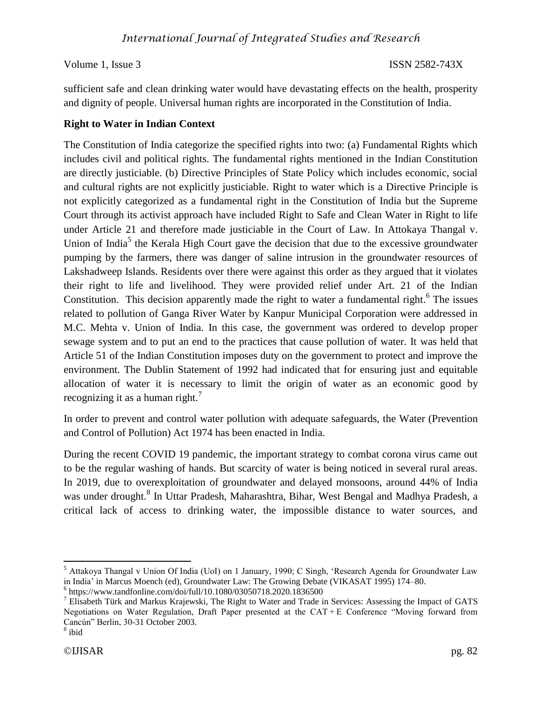sufficient safe and clean drinking water would have devastating effects on the health, prosperity and dignity of people. Universal human rights are incorporated in the Constitution of India.

## **Right to Water in Indian Context**

The Constitution of India categorize the specified rights into two: (a) Fundamental Rights which includes civil and political rights. The fundamental rights mentioned in the Indian Constitution are directly justiciable. (b) Directive Principles of State Policy which includes economic, social and cultural rights are not explicitly justiciable. Right to water which is a Directive Principle is not explicitly categorized as a fundamental right in the Constitution of India but the Supreme Court through its activist approach have included Right to Safe and Clean Water in Right to life under Article 21 and therefore made justiciable in the Court of Law. In Attokaya Thangal v. Union of India<sup>5</sup> the Kerala High Court gave the decision that due to the excessive groundwater pumping by the farmers, there was danger of saline intrusion in the groundwater resources of Lakshadweep Islands. Residents over there were against this order as they argued that it violates their right to life and livelihood. They were provided relief under Art. 21 of the Indian Constitution. This decision apparently made the right to water a fundamental right.<sup>6</sup> The issues related to pollution of Ganga River Water by Kanpur Municipal Corporation were addressed in M.C. Mehta v. Union of India. In this case, the government was ordered to develop proper sewage system and to put an end to the practices that cause pollution of water. It was held that Article 51 of the Indian Constitution imposes duty on the government to protect and improve the environment. The Dublin Statement of 1992 had indicated that for ensuring just and equitable allocation of water it is necessary to limit the origin of water as an economic good by recognizing it as a human right.<sup>7</sup>

In order to prevent and control water pollution with adequate safeguards, the Water (Prevention and Control of Pollution) Act 1974 has been enacted in India.

During the recent COVID 19 pandemic, the important strategy to combat corona virus came out to be the regular washing of hands. But scarcity of water is being noticed in several rural areas. In 2019, due to overexploitation of groundwater and delayed monsoons, around 44% of India was under drought.<sup>8</sup> In Uttar Pradesh, Maharashtra, Bihar, West Bengal and Madhya Pradesh, a critical lack of access to drinking water, the impossible distance to water sources, and

 $\overline{\phantom{a}}$ 

<sup>&</sup>lt;sup>5</sup> Attakoya Thangal v Union Of India (UoI) on 1 January, 1990; C Singh, 'Research Agenda for Groundwater Law in India' in Marcus Moench (ed), Groundwater Law: The Growing Debate (VIKASAT 1995) 174–80.

<sup>6</sup> https://www.tandfonline.com/doi/full/10.1080/03050718.2020.1836500

 $<sup>7</sup>$  Elisabeth Türk and Markus Krajewski, The Right to Water and Trade in Services: Assessing the Impact of GATS</sup> Negotiations on Water Regulation, Draft Paper presented at the CAT + E Conference "Moving forward from Cancún" Berlin, 30-31 October 2003.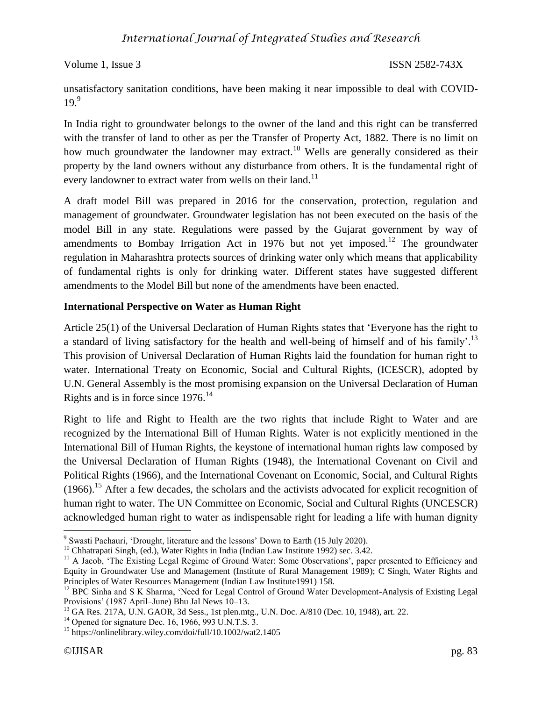unsatisfactory sanitation conditions, have been making it near impossible to deal with COVID- $19<sup>9</sup>$ 

In India right to groundwater belongs to the owner of the land and this right can be transferred with the transfer of land to other as per the Transfer of Property Act, 1882. There is no limit on how much groundwater the landowner may extract.<sup>10</sup> Wells are generally considered as their property by the land owners without any disturbance from others. It is the fundamental right of every landowner to extract water from wells on their land.<sup>11</sup>

A draft model Bill was prepared in 2016 for the conservation, protection, regulation and management of groundwater. Groundwater legislation has not been executed on the basis of the model Bill in any state. Regulations were passed by the Gujarat government by way of amendments to Bombay Irrigation Act in 1976 but not yet imposed.<sup>12</sup> The groundwater regulation in Maharashtra protects sources of drinking water only which means that applicability of fundamental rights is only for drinking water. Different states have suggested different amendments to the Model Bill but none of the amendments have been enacted.

### **International Perspective on Water as Human Right**

Article 25(1) of the Universal Declaration of Human Rights states that 'Everyone has the right to a standard of living satisfactory for the health and well-being of himself and of his family'.<sup>13</sup> This provision of Universal Declaration of Human Rights laid the foundation for human right to water. International Treaty on Economic, Social and Cultural Rights, (ICESCR), adopted by U.N. General Assembly is the most promising expansion on the Universal Declaration of Human Rights and is in force since  $1976$ .<sup>14</sup>

Right to life and Right to Health are the two rights that include Right to Water and are recognized by the International Bill of Human Rights. Water is not explicitly mentioned in the International Bill of Human Rights, the keystone of international human rights law composed by the Universal Declaration of Human Rights (1948), the International Covenant on Civil and Political Rights (1966), and the International Covenant on Economic, Social, and Cultural Rights  $(1966)$ <sup>15</sup> After a few decades, the scholars and the activists advocated for explicit recognition of human right to water. The UN Committee on Economic, Social and Cultural Rights (UNCESCR) acknowledged human right to water as indispensable right for leading a life with human dignity

 $\overline{\phantom{a}}$ 

<sup>&</sup>lt;sup>9</sup> Swasti Pachauri, 'Drought, literature and the lessons' Down to Earth (15 July 2020).

<sup>&</sup>lt;sup>10</sup> Chhatrapati Singh, (ed.), Water Rights in India (Indian Law Institute 1992) sec. 3.42.

<sup>&</sup>lt;sup>11</sup> A Jacob, 'The Existing Legal Regime of Ground Water: Some Observations', paper presented to Efficiency and Equity in Groundwater Use and Management (Institute of Rural Management 1989); C Singh, Water Rights and Principles of Water Resources Management (Indian Law Institute1991) 158.

<sup>&</sup>lt;sup>12</sup> BPC Sinha and S K Sharma, 'Need for Legal Control of Ground Water Development-Analysis of Existing Legal Provisions' (1987 April–June) Bhu Jal News 10–13.

<sup>&</sup>lt;sup>13</sup> GA Res. 217A, U.N. GAOR, 3d Sess., 1st plen.mtg., U.N. Doc. A/810 (Dec. 10, 1948), art. 22.

<sup>&</sup>lt;sup>14</sup> Opened for signature Dec. 16, 1966, 993 U.N.T.S. 3.

<sup>&</sup>lt;sup>15</sup> https://onlinelibrary.wiley.com/doi/full/10.1002/wat2.1405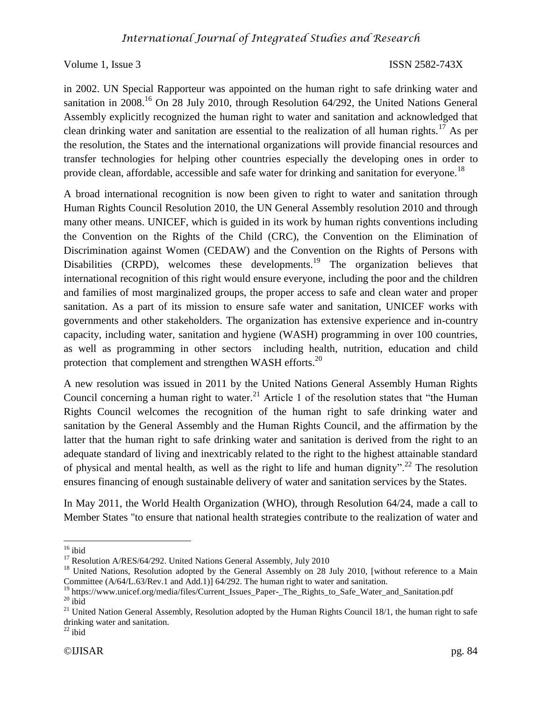in 2002. UN Special Rapporteur was appointed on the human right to safe drinking water and sanitation in 2008.<sup>16</sup> On 28 July 2010, through Resolution  $64/292$ , the United Nations General Assembly explicitly recognized the human right to water and sanitation and acknowledged that clean drinking water and sanitation are essential to the realization of all human rights.<sup>17</sup> As per the resolution, the States and the international organizations will provide financial resources and transfer technologies for helping other countries especially the developing ones in order to provide clean, affordable, accessible and safe water for drinking and sanitation for everyone.<sup>18</sup>

A broad international recognition is now been given to right to water and sanitation through Human Rights Council Resolution 2010, the UN General Assembly resolution 2010 and through many other means. UNICEF, which is guided in its work by human rights conventions including the Convention on the Rights of the Child (CRC), the Convention on the Elimination of Discrimination against Women (CEDAW) and the Convention on the Rights of Persons with Disabilities (CRPD), welcomes these developments.<sup>19</sup> The organization believes that international recognition of this right would ensure everyone, including the poor and the children and families of most marginalized groups, the proper access to safe and clean water and proper sanitation. As a part of its mission to ensure safe water and sanitation, UNICEF works with governments and other stakeholders. The organization has extensive experience and in-country capacity, including water, sanitation and hygiene (WASH) programming in over 100 countries, as well as programming in other sectors including health, nutrition, education and child protection that complement and strengthen WASH efforts.<sup>20</sup>

A new resolution was issued in 2011 by the United Nations General Assembly Human Rights Council concerning a human right to water.<sup>21</sup> Article 1 of the resolution states that "the Human" Rights Council welcomes the recognition of the human right to safe drinking water and sanitation by the General Assembly and the Human Rights Council, and the affirmation by the latter that the human right to safe drinking water and sanitation is derived from the right to an adequate standard of living and inextricably related to the right to the highest attainable standard of physical and mental health, as well as the right to life and human dignity".<sup>22</sup> The resolution ensures financing of enough sustainable delivery of water and sanitation services by the States.

In May 2011, the World Health Organization (WHO), through Resolution 64/24, made a call to Member States "to ensure that national health strategies contribute to the realization of water and

 $\overline{\phantom{a}}$  $16$  ibid

<sup>&</sup>lt;sup>17</sup> Resolution A/RES/64/292. United Nations General Assembly, July 2010

<sup>&</sup>lt;sup>18</sup> United Nations, Resolution adopted by the General Assembly on 28 July 2010, [without reference to a Main Committee (A/64/L.63/Rev.1 and Add.1)] 64/292. The human right to water and sanitation.

<sup>&</sup>lt;sup>19</sup> https://www.unicef.org/media/files/Current\_Issues\_Paper-\_The\_Rights\_to\_Safe\_Water\_and\_Sanitation.pdf  $20$  ibid

 $21$  United Nation General Assembly, Resolution adopted by the Human Rights Council 18/1, the human right to safe drinking water and sanitation.